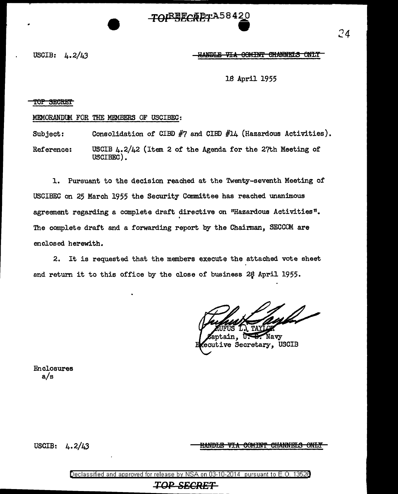TO<del>ISBECRET</del>AJO4 - - -- - 4~ .

USCIB:  $\mu$ ,  $2/\mu$ 3 Here and the HM-HMDIE VIA COMINT CHANNELS ONLY

24

18 April 1955

#### TOP SECRET

#### MEMORANDlM FOR THE MEMBERS OF USCIBEC:

Subject: Consolidation of CIBD #7 and CIBD #14 (Hazardous Activities).

Reference: USCIB 4.2/42 (Item 2 of the Agenda for the 27th Meeting of USCIBEC).

l. Pursuant to the decision reached at the Twenty-seventh Meeting of USCIBEC on 25 March 1955 the Security Committee has reached unanimous agreement regarding a complete draft directive on "Hazardous Activities" • . The complete draft and a forwarding report by the Chairman, SECCOM are enclosed herewith.

2. It is requested that the members execute the attached vote sheet and return it to this office by the close of business 28 April 1955.

Navy ecutive Secretary, USCIB

Enclosures a/s

### USCIB: 4. 2/43

### <u>HANDLE VIA COMINT CHANNELS ONLY</u>

Declassified and approved for release by NSA on 03-10-2014 pursuant to E. 0. 1352B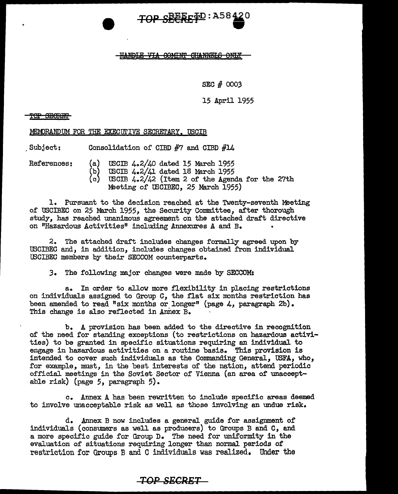

#### <u>HANDLE VIA COMINT CHANNEIS ONLY</u>

SEC # *0003* 

15 April 1955

<del>'iOP\_SBORMT</del>

MEMORANDUM FOR THE EXECUTIVE SECRETARY, USCIB

. Subject: Consolidation of CIBD #7 and CIBD #14

References: (a) USCIB 4.2/40 dated 15 March 1955<br>(b) USCIB 4.2/41 dated 18 March 1955 (b) USCIB 4.2/41 dated 18 March 1955 USCIB  $4.2/42$  (Item 2 of the Agenda for the 27th

Meeting of USCIBEC, 25 March 1955)

1. Pursuant to the decision reached at the Twenty-seventh Meeting of USCIBEC on 25 March 1955, the Security Committee, after thorough study, has reached unanimous agreement on the attached draft directive on "Hazardous Activities" including Annexures A and B.

2. The attached draft includes changes formally agreed upon by USCIBEC and, in addition, includes changes obtained from individual IBCIBEC members by their SECCOM counterparts.

3. The following major changes were made by SECCOM:

a. In order to allow more flexibility in placing restrictions on individuals assigned to Group C, the flat six months restriction has been amended to read "six months or longer" (page 4, paragraph 2b). This change is also reflected in Annex B.

b. A provision has been added to the directive in recognition of the need for standing exceptions (to restrictions on hazardous activities) to be granted in specific situations requiring an individual to engage in hazardous activities on a routine basis. This provision is intended to cover such individuals as the Commanding General, USFA, who, for example, must, in the best interests of the nation, attend periodic official meetings in the Soviet Sector of Vienna (an area of unacceptable risk) {page 5, paragraph 5).

c. Annex A has been rewritten to include specific areas deemed to involve unacceptable risk as well as those involving an undue risk.

d. Annex B now includes a general guide for assignment of individuals (consumers as well as producers) to Groups B and C, and a more specific guide for Group D. The need for uniformity in the evaluation of situations requiring longer than normal periods of restriction for Groups B and C individuals was realized. Under the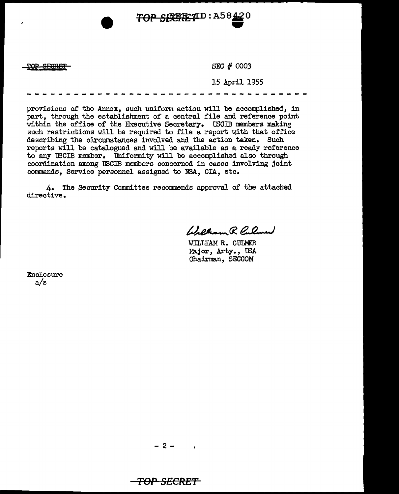**TOP SECRET D: A58 420** 

TOP SEGRET

SEC # 0003

15 April 1955

provisions 0£ the Annex, such uniform action will be accomplished, in part, through the establishment of a central file and reference point within the office of the Executive Secretary. USCIB members making such restrictions will be required to file a report with that office describing the circumstances involved and the action taken. Such reports will be catalogued and will be available as a ready reference to any USCIB member. Uniformity will be accomplished also through coordination among tSCIB members concerned in cases involving joint commands, Service personnel assigned to NSA, CIA, etc.

4. The Security Committee recommends approval of the attached directive.

Welliam R. Pulmer

WILLIAM R. CULMER Major, Arty., IBA Chairman, SECCOM

Enclosure a/s

 $\mathbf{r}$ 

**TOP SECRE'1'**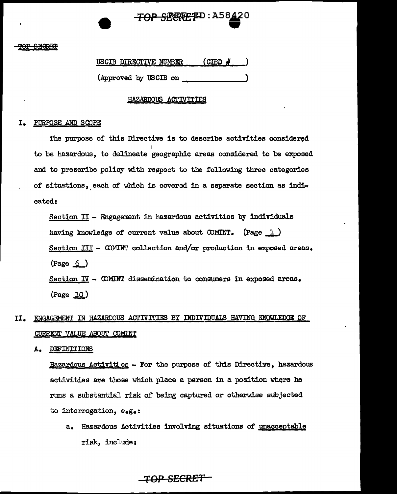# TOP SECRETD: A58  $\bullet$

USCIB DIRECTIVE NUMBER (CIBD # (Approved by USCIB on

### HAZARDOUS ACTIVITIES

### I. PURPOSE AND SCOPE

The purpose of this Directive is to describe activities considered I to be hazardous, to delineate geographic areas considered to be exposed and to prescribe policy with respect to the following three categories of situations, each of which is covered in a separate section as indicated:

Section II - Engagement in hazardous activities by individuals having knowledge of current value about  $\text{COMINT}_{\bullet}$  (Page  $\underline{1}$ ) Section III - COMINT collection and/or production in exposed areas.  $(Page \t6)$ Section  $IV -$  COMINT dissemination to consumers in exposed areas.

(Page 10)

# II. ENGAGEMENT IN HAZARDOUS ACTIVITIES BY INDIVIDUALS HAVING KNOWLEDGE OF CURRENT VALUE ABOUT COMINT

A. DEFINITIONS

Hazardous Activities - For the purpose of this Directive, hazardous activities are those which place a person in a position where he runs a substantial risk of being captured or otherwise subjected to interrogation, e.g.:

a. Hazardous Activities involving situations of unacceptable risk, include: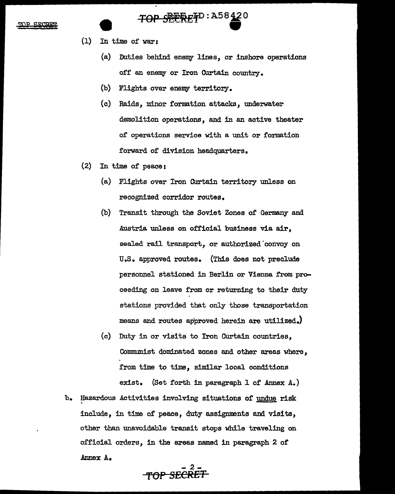#### $GR$ **CORT**

# SEERETD: A58420

- (1) In time of war:
	- $(a)$  Duties behind enemy lines, or inshore operations off an enemy or Iron Curtain country.
	- (b) Flights over enemy territory.
	- (c) Raids, minor formation attacks, underwater demolition operations, and in an active theater of operations service with a unit or formation forward of division headquarters.
- (2) In time of peace:
	- (a) Flights over Iron Curtain territory unless on recognized corridor routes.
	- (b) Transit through the Soviet Zones of Germany and Austria unless on official business via air, sealed rail transport, or authorized convoy on U.S. approved routes. (This does not preclude personnel stationed in Berlin or Vienna from proceeding on leave from or returning to their duty stations provided that only those transportation means and routes approved herein are utilized.)
	- (c) Duty in or visits to Iron Curtain countries, Communist dominated zones and other areas where, from time to time, similar local conditions exist. (Set forth in paragraph 1 of Annex A.)
- b. Hazardous Activities involving situations of undue risk include, in time of peace, duty assignments and visits, other than unavoidable transit stops while traveling on official orders, in the areas named in paragraph 2 of Annex A.

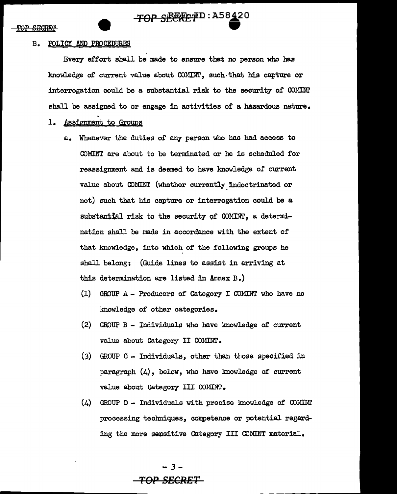### B. POLICY AND PROCEDURES

Every effort shall be made to ensure that no person who has knowledge of current value about COMINT, such.that his capture or interrogation could be a substantial risk to the security of  $\mathcal{C}\text{OMIM}$ shall be assigned to or engage in activities of a hazardous nature.

### 1. Assignment to Groups

- a. Whenever the duties or any person who has had access to COMINT are about to be terminated or he is scheduled for reassignment and is deemed to have knowledge or current value about OOMINT (whether currently\_1ndoctrinated or not) such that his capture or interrogation could be a substantial risk to the security of COMINT, a determination shall be made in accordance with the extent of that knowledge, into which of the following groups he shall belong: (Guide lines to assist in arriving at this determination are listed in Annex B.)
	- (1) GROUP A Producers of Category I OOMINT who have no knowledge of other categories.
	- $(2)$  GROUP B Individuals who have knowledge of current value about Category II COMINT.
	- (3) GROUP C Individuals, other than those specified in paragraph  $(4)$ , below, who have knowledge of current value about Category III COMINT.
	- $(4)$  GROUP D Individuals with precise knowledge of COMINT processing techniques, competence or potential regarding the more sensitive Category III COMINT material.

- *3* - **TOP SECRET**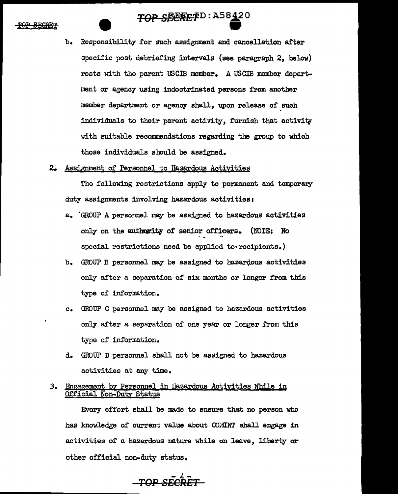

- b. Responsibility for such assignment and cancellation after specific post debriefing intervals (see paragraph 2, below) rests with the parent USCIB member. A USCIB member department or agency using indoctrinated persons from another member department or agency shall, upon release of such individuals to their parent activity, furnish that activitv with suitable recommendations regarding the group to which those individuals should be assigned.
- 2. Assignment of Personnel to Hazardous Activities

The following restrictions apply to permanent and temporary duty assignments involving hazardous activities:

- a. 'GROUP A personnel may be assigned to hazardous activities only on the authority of senior officers. (NOTE: No special restrictions need be applied to recipients.)
- b. GROUP B personnel may be assigned to hazardous activities only after a separation of six months or longer from this type of information.
- c. GROUP C personnel may be assigned to hazardous activities only after a separation of one year or longer from this type of information.
- d. GROUP D personnel shaJJ. not be assigned to hazardous activities at any time.

## *3.* Engagement by Personnel in Hazardous Activities While in Official Non-Duty Status

Every effort shall be made to ensure that no person who has knowledge of current value about  $COMINT$  shall engage in activities of a hazardous nature while on leave, liberty or other official non-duty status.

*TOP* SE~ET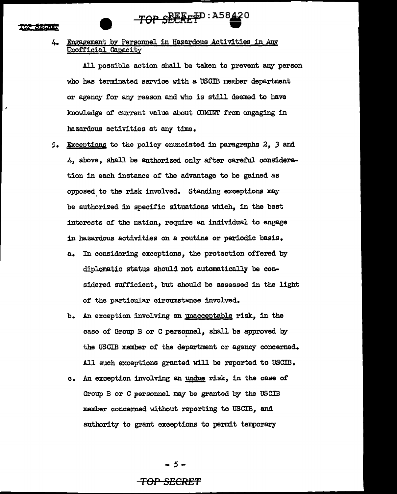ne skaka

# $-TOP$   $SEEEFP$ <sup>D:A58</sup> $\rightarrow$

### 4. Engagement by Personnel in Hazardous Activities in Any Unofficial Capacity

All possible action shall be taken to prevent any person who has terminated service with a USCIB member department or agency for any reason and who is still deemed to have knowledge of current value about OOMINT from engaging in hazardous activities at any time.

- 5. Exceptions to the policy enunciated in paragraphs 2. 3 and 4, above, shall be authorized only after careful consideration in each instance of the advantage to be gained as opposed. to the risk involved. Standing exceptions may be authorized in specific situations which, in the best interests of the nation, require an individual to engage in hazardous activities on a routine or periodic basis.
	- a. In considering exceptions, the protection offered by diplomatic status should not automatically be considered sufficient, but should be assessed in the light of the particular circumstance involved.
	- b. An exception involving an unacceptable risk, in the case of Group B or C personnel, shall be approved by the USCIB member of the department or agency concerned. All such exceptions granted will be reported to USCIB.
	- c. An exception involving an undue risk, in the case of Group B or C personnel may be granted by the USCIB member concerned without reporting to USCIB, and authority to grant exceptions to permit temporary

- 5 -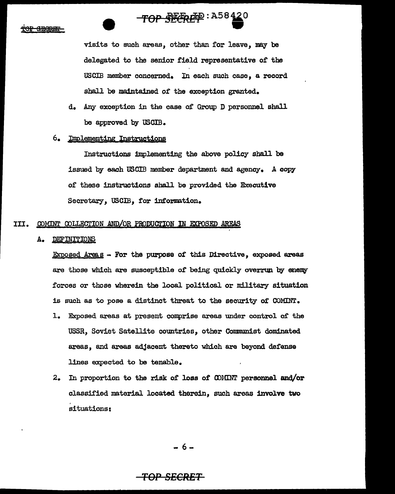سمسه

# $TOP$  .  $RERE P = 1158420$

visits to such areas, other than for leave, may be delegated to the senior field representative 0£ the USCIB member concerned. In each such case, a record shall be maintained *ot* the exception granted.

d. Any exception in the case or Group D personnel shall be approved by USCIB.

### 6. Implementing Instructions

Instructions implementing the above policy shall be issued by each USCIB member department and agency. A copy of these instructions shall be provided the Executive Secretary, USCIB, for information.

### III. COMINT COLLECTION AND/OR PRODUCTION IN EXPOSED AREAS

A. DEFINITIONS

 $Exposed$   $Areag$  - For the purpose of this Directive, exposed areas are those which are susceptible of being quickly overrun by enemy forces or those wherein the local political or military situation is such as to pose a distinct threat to the security of COMINT.

- 1. Exposed areas at present comprise areas under control of the USSR, Soviet Satellite countries, other Communist dominated areas, and areas adjacent thereto which are beyond defense lines expected to be tenable.
- 2. In proportion to the risk of loss of COMINT personnel and/or classified material located therein, such areas involve two situations:

- 6-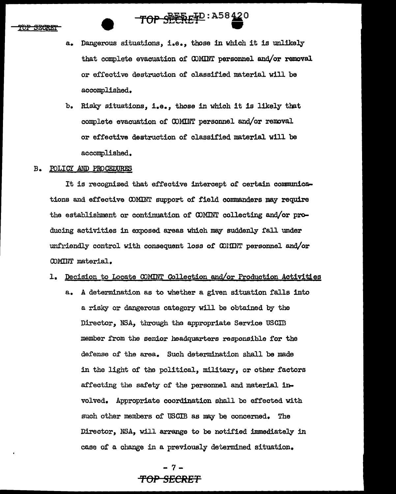**TEUREI** 

# TOP SEERE P : A58420

- a. Dangerous situations, i.e., those in which it is unlikely that complete evacuation of OJMINT personnel and/or removal or effective destruction of classified material will be accomplished.
- b. Risky situations, i.e., those in which it is likely that complete evacuation of COMINT personnel and/or removal or effective destruction of classified material will be accomplished.

### B. POLICY AND PROCEDURES

It is recognized that effective intercept of certain communications and effective COMINT support of field commanders may require the establishment or continuation of COMINT collecting and/or producing activities in exposed areas which may suddenly fall under unfriendly control with consequent loss of COIINT personnel and/or COMINT material.

### 1. Decision to Locate COMINT Collection and/or Production Activities

a. A determination as to whether a given situation falls into a risky or dangerous category will be obtained by the Director, NSA, through the appropriate Service USCID member from the senior headquarters responsible for the defense of the area. Such determination shall be made in the light of the political, military, or other factors affecting the safety of the personnel and material invol ved. Appropriate coordination shall be effected with such other members of USCIB as may be concerned. The Director, NSA, will arrange to be notified immediately in case of a change in a previously determined situation.

> -7- **'fOP SECRET**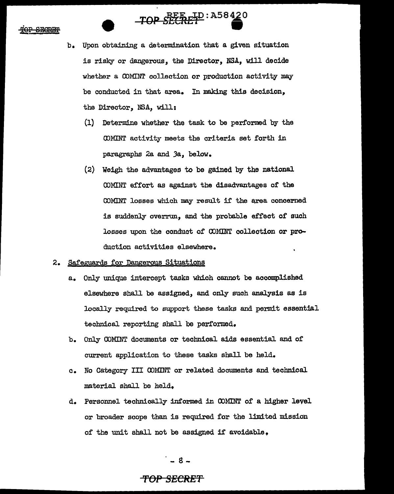# TOP SECRET P: A58420

- b. Upon obtaining a determination that a given situation is risky or dangerous, the Director, NSA, will decide whether a COMINT collection or production activity may be conducted in that area. In making this decision, the Director, NSA, will:
	- (1) Determine whether the task to be performed by the <DMINT activity meets the criteria set forth in paragraphs 2a and Ja, below.
	- (2) Weigh the advantages to be gained by the national OOMINT effort as against the disadvantages of the COMINT losses which may result if the area concerned is suddenly overrun, and the probable effect of such losses upon the conduct of COMINT collection or production activities elsewhere.

### 2. Safeguards for Dangerous Situations

- a. Only unique intercept tasks which cannot be accomplished elsewhere shall be assigned, and only such analysis as is locally required to support these tasks and permit essential technical reporting shall be performed.
- b. Only COMINT documents or technical aids essential and of current application to these tasks shall be held.
- c. No Category III OOMINT or related documents and technical material shall be held,
- d. Personnel technically informed in COMINT of a higher level or broader scope than is required for the limited mission of the unit shall not be assigned if avoidable.

- 8 -

# **"f'OP SECRET**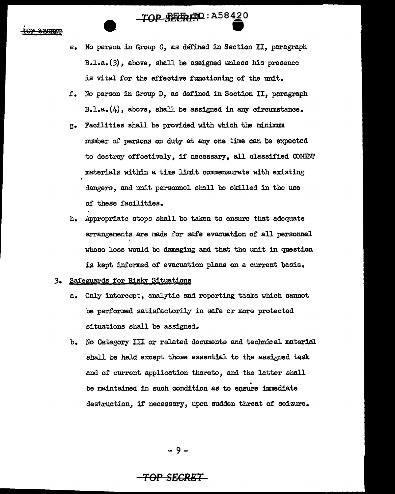# **TOP SEERED: A58420**

- e. No person in Group C, as defined in Section II, paragraph B.l.a. $(3)$ , above, shall be assigned unless his presence is vital for the effective functioning of the unit.
- f. No person in Group D, as defined in Section II, paragraph B.l.a.(4), above, shall be assigned in any circumstance.
- g. Facilities shall be provided with which the minimum number of persons on duty at any one time can be expected to destroy effectively, if necessary, all classified CDMINr materials within a time limit commensurate with existing dangers, and unit personnel shall be skilled in the use of these facilities.
- b. Appropriate steps shall be taken to ensure that adequate arrangements are made for safe evacuation of all personnel whose loss would be damaging and that the unit in question is kept informed of evacuation plans on a current basis.

### J. Safeguards for Risky Situations

- a. Only intercept, analytic and reporting tasks which cannot be performed satisfactorily in safe or more protected situations shall be assigned.
- b. No Category III or related documents and technical material shall be held except those essential to the assigned task and of current application thereto, and the latter shall be maintained in such condition as to ensure immediate destruction, if necessary, upon sudden threat of seizure.

- 9 -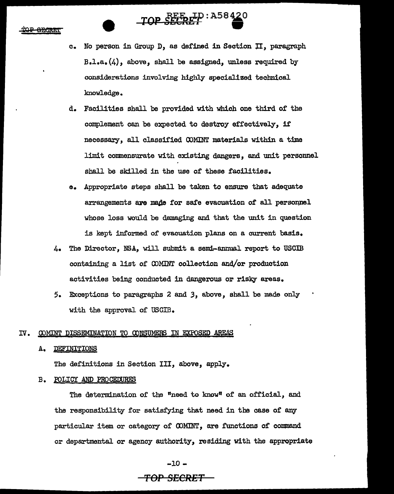<del>ARCR 8</del>7

# **TOP SECRET** : A58420

- c. No person in Group D, as defined in Section II, paragraph  $B - 1 - a$ . (4), above, shall be assigned, unless required by considerations involving highly specialized technical knowledge.
- d. Facilities shaJ.l be provided with which one third of' the complement can be expected to destroy effectively, if' necessary, all classified COMINT materials within a time limit commensurate with existing dangers, and unit personnel shall be skilled in the use of these facilities.
- e. Appropriate steps shall be taken to ensure that adequate arrangements are made for safe evacuation of all personnel whose loss would be damaging and that the unit in question is kept informed of evacuation plans on a current basis.
- 4. The Director, NSA, will submit a semi-annual report to USCIB containing a list of CDMINT collection and/or production activities being conducted in dangerous or risky areas.
- 5. Exceptions to paragraphs 2 and *3,* above, shall be made only with the approval of USGIB.

### IV. COMINT DISSEMINATION TO CONSUMERS IN EXPOSED AREAS

A. DEFINITIONS

The definitions in Section III, above, apply.

### B. POLICY AND PROCEDURES

The determination of the "need to know" of an official, and the responsibility for satisfying that need in the case of any particular item or category of OOMINT, are functions or command or departmental or agency authority, residing with the appropriate

 $-10 -$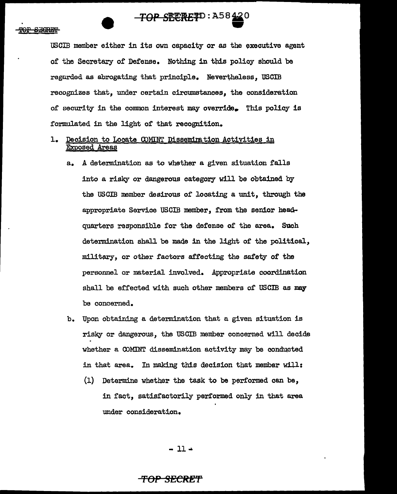



USCIB member either in its own capacity or as the executive agent of the Secretary of Defense. Nothing in this policy should be regarded as abrogating that principle. Nevertheless. USCIB recognizes that, under certain circumstances, the consideration of security in the common interest may override. This policy is formulated in the light of that recognition.

- 1. Decision to Locate COMINT Dissemination Activities in Exposed Areas
	- a. A determination as to whether a given situation falls into a risky or dangerous category will be obtained by the USCIB member desirous of locating a unit, through the appropriate Service USCIB member, from the senior headquarters responsible for the defense of the area. Such determination shall be made in the light of the political. military, or other factors affecting the safety of the personnel or material involved. Appropriate coordination shall be effected with such other members of USCIB as may be concerned.
	- b. Upon obtaining a determination that a given situation is risky or dangerous, the USCIB member concerned will decide whether a COMINT dissemination activity may be conducted in that area. In making this decision that member will:
		- (1) Determine whether the task to be performed can be, in fact, satisfactorily performed only in that area under consideration.

- ll •

# **'fOP SECRET**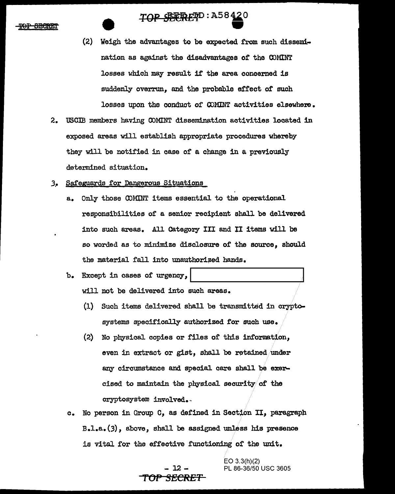# **TOP SEERET**D:A58420  $\overline{p}$  : A58420

- (2) Weigh the advantages to be expected from such dissemination as against the disadvantages of the COMINT losses which may result if the area concerned is suddenly overrun, and the probable effect of such losses upon the conduct of COMINT activities elsewhere.
- 2. USCIB members having COMINT dissemination activities located in exposed areas will establish appropriate procedures whereby they will be notified in case of a change in a previously determined situation.
- *3..* Safeguards £or Dangerous Situations
	- a. Only those OOMINT items essential to the operational responsibilities or a senior recipient shall be delivered into such areas. All Category III and II items will be so worded as to minimize disclosure of the source, should the material fall into unauthorized hands.
	- b. Except in cases of urgency, will not be delivered into such areas.
		- (1) Such items delivered shall be transmitted in cryptosystems specifically authorized for such use.
		- (2) No physical copies or files of this information, even in extract or gist, shall be retained under any circumstance and special care shall be exercised to maintain the physical security/of the cryptosystem involved.
	- c. No person in Group C, as defined in Section II, paragraph B.l.a.(3), above, shall be assigned unless his presence is vital for the effective functioning of the unit.

# $-12 -$ TO~ **SECRET**

EO 3.3(h)(2) PL 86-36/50 USC 3605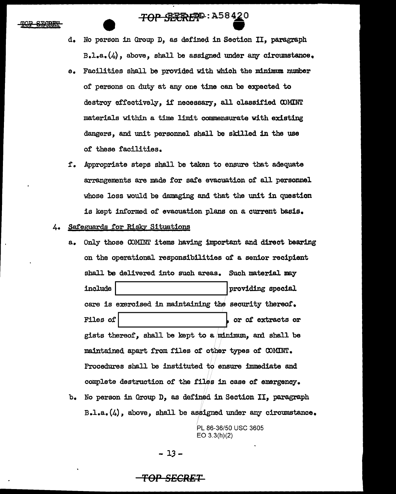# **TOP SEREP**: A58420

- d. Mo person in Group D, as defined in Section II, paragraph  $B - 1 - a$ . (4), above, shall be assigned under any circumstance.
- e. Facilities shall be provided with which the minimum number of persons on duty at any one time can be expected to destroy effectively, if necessary, all classified COMINT materials within a time limit commensurate with existing dangers, and unit personnel shall be skilled in the use or these facilities.
- f. Appropriate steps shall be taken to ensure that adequate arrangements are made for safe evacuation of all personnel whose loss would be damaging and that the unit in question is kept informed of evacuation plans on a current basis.

### 4. Safeguards for Risky Situations

- a. Only those COMINT items having important and direct bearing on the operational responsibilities or a senior recipient shall be delivered into such areas. Such material may include I .... \_\_\_\_\_\_\_\_\_\_\_ \_\_,.I providing special care is exercised in maintaining the security thereof. Files of | stracts or | stracts or | stracts or | stracts or | stracts or | stracts or | stracts or | stracts or gists thereof, shall be kept to a minimum, and shall be maintained apart from files of other types of COMINT. Procedures shall be instituted to ensure immediate and complete destruction of the files in case of emergency.
- b. No person in Group D, as defined in Section II, paragraph  $B.-1.-a.$   $(4)$ , above, shall be assigned under any circumstance.

PL 86-36/50 USC 3605 EO 3.3(h)(2)

- 13-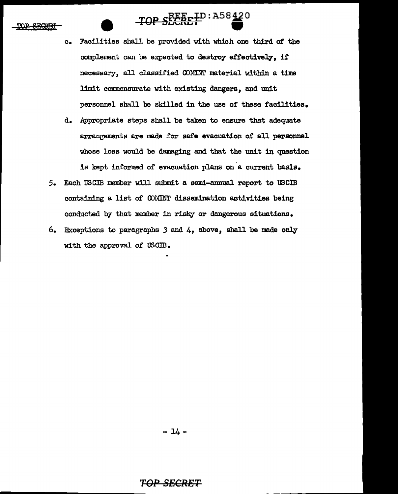# TOP SECRET : A58420

- c. Facilities shall be provided with which one third of the complement can be expected to destroy effectively, if necessary, all classified CDMINT material within a time limit commensurate with existing dangers, and unit personnel shall be skilled in the use *ot* these facilities.
- d. Appropriate steps shall be taken to ensure that adequate arrangements are made for safe evacuation of all personnel whose loss would be damaging and that the unit in question is kept informed of evacuation plans on'a current basis.
- *5.* Each USCIB member will submit a semi-annual report to WCIB containing a list of COMINT dissemination activities being conducted by that member in risky or dangerous situations.
- 6. Exceptions to paragraphs 3 and 4, above, shall be made only with the approval of USCIB.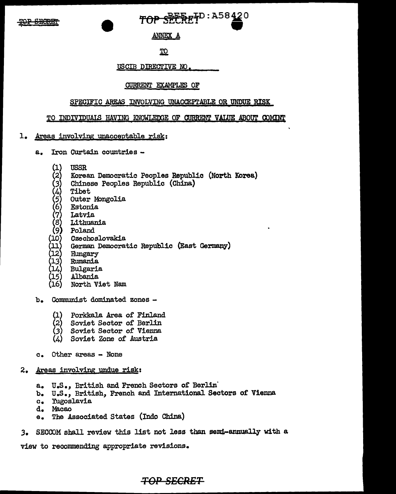TOP SEERE TD: A58420

**ANNEX A** 

.IQ.

USCIB DIRECTIVE NO.

## CURRENT EXAMPLES OF

## SPECIFIC AREAS INVOLVING UNACCEPrABLE OR UNDUE RISK

### TO INDIVIDUALS HAVING KNOWLEDGE OF CURRENT VALUE ABOUT COMINT

### 1. Areas involving unacceptable risk:

- a. Iron CUrtain countries
	- (1) USSR
	- (2) Korean Democratic Peoples Republic (North Korea)
	- (3) Chinese Peoples Republic (China)
	-
	- Outer Mongolia
	- **Estonia**
	- **Latvia**
	- **Lithuania**
	- Poland
	- (10) Czechoslovakia
	- $\begin{array}{ll} (4) & \text{Tibet} \\ (5) & \text{Outer} \\ (6) & \text{Eston} \\ (7) & \text{Latvid} \\ (8) & \text{Lithu} \\ (9) & \text{Polan} \\ (10) & \text{Gzechn} \\ (11) & \text{Germa} \\ (12) & \text{Hunga} \end{array}$ German Democratic Republic (East Germany)
	- Hungary
	- (13) Rumania
	- **Bulgaria**
	- (15) Albania
	- (16) North Viet Nam
- b. Communist dominated zones
	-
	- (1) Porkkala Area of Finland<br>(2) Soviet Sector of Berlin (2) Soviet Sector of Berlin<br>(3) Soviet Sector of Vienna
	- Soviet Sector of Vienna
	- Soviet Zone of Austria
- c. Other areas None
- 2. Areas involving undue risk:
	- a. U.S., British and French Sectors of Berlin'
	- b. u.s., British, French and International Sectors of Vienna
	- c. Yugoslavia<br>d. Macao
	- Macao
	- e. The Associated States (Indo China)
- 3. SECCOM shall review this list not less than semi-annually with a

view to recommending appropriate revisions.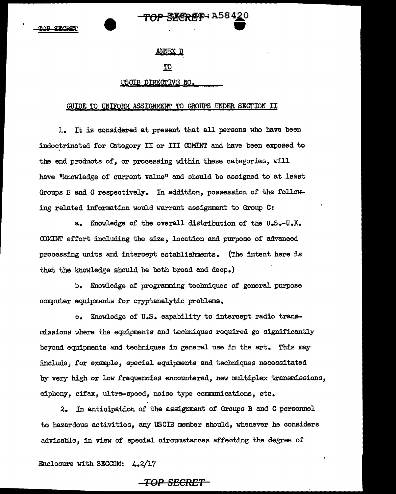### ANNEX B

<del>OP - R属CRA T</del>P - A58420

### IQ

### USCIB DIREGrIVE NO.

#### GUIDE TO UNIFORM ASSIGNMENT TO GROUPS UNDER SECTION II

1. It is considered at present that all persons who have been indoctrinated for Category II or III COMINT and have been exposed to the end products *of,* or processing within these categories, will have "knowledge of current value" and should be assigned to at least Groups B and C respectively. In addition, possession of the following related information would warrant assignment to Group C:

a. Knowledge of the overall distribution of the U.S.-U.K. CDMINT effort including the size, location and purpose of advanced processing units and intercept establishments. (The intent here is that the knowledge should be both broad and deep.)

b. Knowledge of programming techniques of general purpose computer equipments for cryptanalytic problems.

c. Knowledge of U.S. capability to intercept radio transmissions where the equipments and techniques required go significantly beyond equipments and techniques in general use in the art. This may include, for example, special equipments and techniques necessitated by very high or low frequencies encountered, new multiplex transmissions, ciphony, cifax, ultra-speed, noise type communications, etc.

2. In anticipation of the assignment of Groups B and C personnel to hazardous activities, any USCIB member should, whenever he considers advisable, in view of special circumstances affecting the degree of

Enclosure with SECOOM: 4.2/17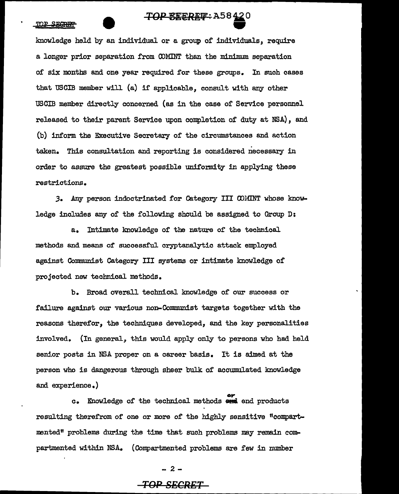#### TOP SECRET

# $\overline{TOP}$   $\overline{C}$ **EEREP**: A58 420

knowledge held by an individual or a group of individuals, require a longer prior separation from COMINT than the minimum separation of six months and one year required for these groups. In such cases that USCIB member will {a) if applicable, consult with any other USCIB member directly concerned {as in the case of Service personnel released to their parent Service upon completion of duty at NSA), and (b) inform the Executive Secretary of the circumstances and action taken. This consultation and reporting is considered necessary in order to assure the greatest possible uniformity in applying these restrictions.

*3.* Any person indoctrinated for Category III CDMINT whose knowledge includes any of the following should be assigned to Group D:

a. Intimate knowledge or the nature or the technical. methods and means or successful cryptanalytic attack employed against Conmunist Category III systems or intimate knowledge of projected new technical methods.

b. Broad overall technical knowledge of our success or failure against our various non-Communist targets together with the reasons therefor, the techniques developed, and the key personalities involved. (In general, this would apply only to persons who had held senior posts in NSA proper on a career basis. It is aimed at the person who is dangerous through sheer bulk of accumulated knowledge and experience.)

**c.** Knowledge of the technical methods  $\frac{or}{\cdot}$  and products resulting therefrom of one or more of the highly sensitive "compartmented" problems during the time that such problems may remain compartmented within NSA. (Compartmented problems are few in number

 $- 2 -$